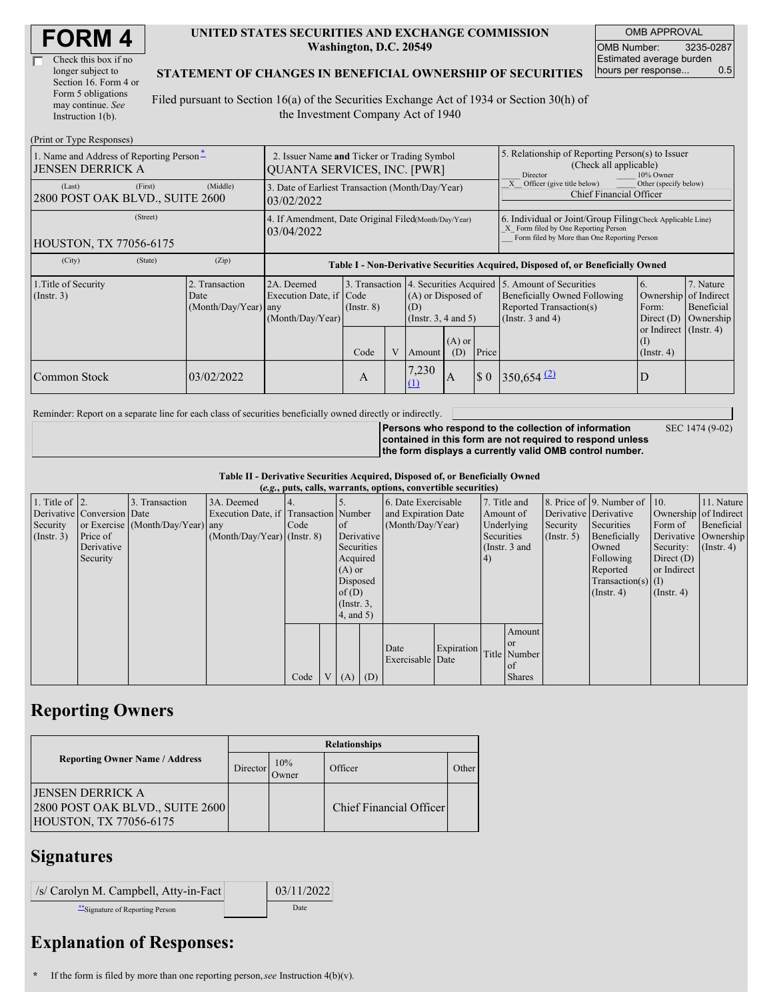| <b>FORM4</b> |
|--------------|
|--------------|

| Check this box if no  |
|-----------------------|
| longer subject to     |
| Section 16. Form 4 or |
| Form 5 obligations    |
| may continue. See     |
| Instruction 1(b).     |

#### **UNITED STATES SECURITIES AND EXCHANGE COMMISSION Washington, D.C. 20549**

OMB APPROVAL OMB Number: 3235-0287 Estimated average burden hours per response... 0.5

#### **STATEMENT OF CHANGES IN BENEFICIAL OWNERSHIP OF SECURITIES**

Filed pursuant to Section 16(a) of the Securities Exchange Act of 1934 or Section 30(h) of the Investment Company Act of 1940

| (Print or Type Responses)                                                       |                                                                                   |                                                                                  |                 |  |                                                                                                |                 |                                                                                                                                                    |                                                                                                             |                                                                                |                                      |  |
|---------------------------------------------------------------------------------|-----------------------------------------------------------------------------------|----------------------------------------------------------------------------------|-----------------|--|------------------------------------------------------------------------------------------------|-----------------|----------------------------------------------------------------------------------------------------------------------------------------------------|-------------------------------------------------------------------------------------------------------------|--------------------------------------------------------------------------------|--------------------------------------|--|
| 1. Name and Address of Reporting Person <sup>*</sup><br><b>JENSEN DERRICK A</b> | 2. Issuer Name and Ticker or Trading Symbol<br><b>QUANTA SERVICES, INC. [PWR]</b> |                                                                                  |                 |  |                                                                                                |                 | 5. Relationship of Reporting Person(s) to Issuer<br>(Check all applicable)<br>Director<br>10% Owner                                                |                                                                                                             |                                                                                |                                      |  |
| (First)<br>(Last)<br>2800 POST OAK BLVD., SUITE 2600                            | (Middle)                                                                          | 3. Date of Earliest Transaction (Month/Day/Year)<br>03/02/2022                   |                 |  |                                                                                                |                 |                                                                                                                                                    | Other (specify below)<br>Officer (give title below)<br>Chief Financial Officer                              |                                                                                |                                      |  |
| (Street)<br><b>HOUSTON, TX 77056-6175</b>                                       | 4. If Amendment, Date Original Filed(Month/Day/Year)<br>03/04/2022                |                                                                                  |                 |  |                                                                                                |                 | 6. Individual or Joint/Group Filing Check Applicable Line)<br>X Form filed by One Reporting Person<br>Form filed by More than One Reporting Person |                                                                                                             |                                                                                |                                      |  |
| (City)<br>(State)                                                               | (Zip)                                                                             | Table I - Non-Derivative Securities Acquired, Disposed of, or Beneficially Owned |                 |  |                                                                                                |                 |                                                                                                                                                    |                                                                                                             |                                                                                |                                      |  |
| 1. Title of Security<br>$($ Instr. 3 $)$                                        | 2. Transaction<br>Date<br>(Month/Day/Year) any                                    | 2A. Deemed<br>Execution Date, if Code<br>(Month/Day/Year)                        | $($ Instr. $8)$ |  | 3. Transaction 4. Securities Acquired<br>(A) or Disposed of<br>(D)<br>(Instr. $3, 4$ and $5$ ) |                 |                                                                                                                                                    | 5. Amount of Securities<br>Beneficially Owned Following<br>Reported Transaction(s)<br>(Instr. $3$ and $4$ ) | <sup>6.</sup><br>Ownership of Indirect<br>Form:<br>Direct $(D)$                | 7. Nature<br>Beneficial<br>Ownership |  |
|                                                                                 |                                                                                   |                                                                                  | Code            |  | Amount                                                                                         | $(A)$ or<br>(D) | Price                                                                                                                                              |                                                                                                             | or Indirect $($ Instr. 4 $)$<br>$\left( \mathrm{I}\right)$<br>$($ Instr. 4 $)$ |                                      |  |
| Common Stock                                                                    | 03/02/2022                                                                        |                                                                                  | A               |  | 7,230<br>(1)                                                                                   | A               | $\sqrt{5}0$                                                                                                                                        | $350,654$ <sup>(2)</sup>                                                                                    | D                                                                              |                                      |  |

Reminder: Report on a separate line for each class of securities beneficially owned directly or indirectly.

SEC 1474 (9-02)

**Persons who respond to the collection of information contained in this form are not required to respond unless the form displays a currently valid OMB control number.**

**Table II - Derivative Securities Acquired, Disposed of, or Beneficially Owned**

| (e.g., puts, calls, warrants, options, convertible securities) |                            |                                  |                                       |      |                 |                 |            |                     |            |               |               |                  |                              |                       |                      |
|----------------------------------------------------------------|----------------------------|----------------------------------|---------------------------------------|------|-----------------|-----------------|------------|---------------------|------------|---------------|---------------|------------------|------------------------------|-----------------------|----------------------|
| 1. Title of $\vert$ 2.                                         |                            | 3. Transaction                   | 3A. Deemed                            |      |                 |                 |            | 6. Date Exercisable |            |               | 7. Title and  |                  | 8. Price of 9. Number of 10. |                       | 11. Nature           |
|                                                                | Derivative Conversion Date |                                  | Execution Date, if Transaction Number |      |                 |                 |            | and Expiration Date |            | Amount of     |               |                  | Derivative Derivative        | Ownership of Indirect |                      |
| Security                                                       |                            | or Exercise (Month/Day/Year) any |                                       | Code |                 | $\circ$ f       |            | (Month/Day/Year)    |            | Underlying    |               | Security         | Securities                   | Form of               | Beneficial           |
| (Insert. 3)                                                    | Price of                   |                                  | $(Month/Day/Year)$ (Instr. 8)         |      |                 |                 | Derivative |                     |            | Securities    |               | $($ Instr. 5 $)$ | Beneficially                 |                       | Derivative Ownership |
|                                                                | Derivative                 |                                  |                                       |      |                 | Securities      |            |                     |            | (Instr. 3 and |               |                  | Owned                        | Security:             | $($ Instr. 4 $)$     |
|                                                                | Security                   |                                  |                                       |      |                 | Acquired        |            |                     |            | (4)           |               |                  | Following                    | Direct $(D)$          |                      |
|                                                                |                            |                                  |                                       |      |                 | $(A)$ or        |            |                     |            |               |               |                  | Reported                     | or Indirect           |                      |
|                                                                |                            |                                  |                                       |      |                 | Disposed        |            |                     |            |               |               |                  | $Transaction(s)$ (I)         |                       |                      |
|                                                                |                            |                                  |                                       |      |                 | of $(D)$        |            |                     |            |               |               |                  | $($ Instr. 4)                | $($ Instr. 4 $)$      |                      |
|                                                                |                            |                                  |                                       |      |                 | $($ Instr. $3,$ |            |                     |            |               |               |                  |                              |                       |                      |
|                                                                |                            |                                  |                                       |      |                 | 4, and 5)       |            |                     |            |               |               |                  |                              |                       |                      |
|                                                                |                            |                                  |                                       |      |                 |                 |            |                     |            |               | Amount        |                  |                              |                       |                      |
|                                                                |                            |                                  |                                       |      |                 |                 |            | Date                | Expiration |               | <b>or</b>     |                  |                              |                       |                      |
|                                                                |                            |                                  |                                       |      |                 |                 |            | Exercisable Date    |            |               | Title Number  |                  |                              |                       |                      |
|                                                                |                            |                                  |                                       |      |                 |                 |            |                     |            |               | of            |                  |                              |                       |                      |
|                                                                |                            |                                  |                                       | Code | $V_{\parallel}$ | $(A)$ $(D)$     |            |                     |            |               | <b>Shares</b> |                  |                              |                       |                      |

## **Reporting Owners**

|                                                                                              | <b>Relationships</b> |              |                         |       |  |  |  |  |  |
|----------------------------------------------------------------------------------------------|----------------------|--------------|-------------------------|-------|--|--|--|--|--|
| <b>Reporting Owner Name / Address</b>                                                        | Director             | 10%<br>Owner | Officer                 | Other |  |  |  |  |  |
| <b>IJENSEN DERRICK A</b><br>2800 POST OAK BLVD., SUITE 2600<br><b>HOUSTON, TX 77056-6175</b> |                      |              | Chief Financial Officer |       |  |  |  |  |  |

### **Signatures**

| $ $ /s/ Carolyn M. Campbell, Atty-in-Fact | 03/11/2022 |
|-------------------------------------------|------------|
| Signature of Reporting Person             | Date       |

# **Explanation of Responses:**

**\*** If the form is filed by more than one reporting person,*see* Instruction 4(b)(v).